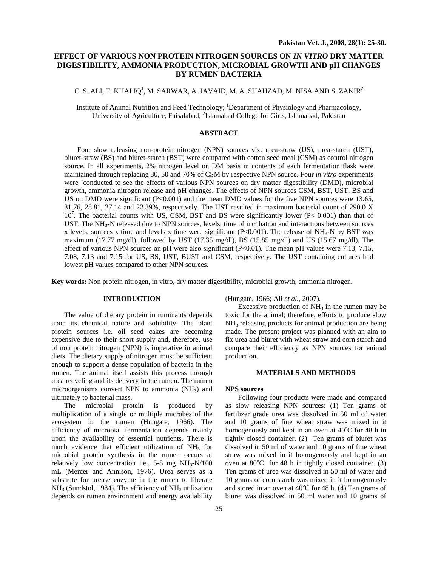# **EFFECT OF VARIOUS NON PROTEIN NITROGEN SOURCES ON** *IN VITRO* **DRY MATTER DIGESTIBILITY, AMMONIA PRODUCTION, MICROBIAL GROWTH AND pH CHANGES BY RUMEN BACTERIA**

# C. S. ALI, T. KHALIQ<sup>1</sup>, M. SARWAR, A. JAVAID, M. A. SHAHZAD, M. NISA AND S. ZAKIR<sup>2</sup>

Institute of Animal Nutrition and Feed Technology; <sup>1</sup>Department of Physiology and Pharmacology, University of Agriculture, Faisalabad; <sup>2</sup>Islamabad College for Girls, Islamabad, Pakistan

# **ABSTRACT**

Four slow releasing non-protein nitrogen (NPN) sources viz. urea-straw (US), urea-starch (UST), biuret-straw (BS) and biuret-starch (BST) were compared with cotton seed meal (CSM) as control nitrogen source. In all experiments, 2% nitrogen level on DM basis in contents of each fermentation flask were maintained through replacing 30, 50 and 70% of CSM by respective NPN source. Four *in vitro* experiments were `conducted to see the effects of various NPN sources on dry matter digestibility (DMD), microbial growth, ammonia nitrogen release and pH changes. The effects of NPN sources CSM, BST, UST, BS and US on DMD were significant (P<0.001) and the mean DMD values for the five NPN sources were 13.65, 31.76, 28.81, 27.14 and 22.39%, respectively. The UST resulted in maximum bacterial count of 290.0 X  $10^7$ . The bacterial counts with US, CSM, BST and BS were significantly lower (P< 0.001) than that of UST. The  $NH<sub>3</sub>-N$  released due to NPN sources, levels, time of incubation and interactions between sources x levels, sources x time and levels x time were significant (P<0.001). The release of  $NH<sub>3</sub>-N$  by BST was maximum (17.77 mg/dl), followed by UST (17.35 mg/dl), BS (15.85 mg/dl) and US (15.67 mg/dl). The effect of various NPN sources on pH were also significant (P<0.01). The mean pH values were 7.13, 7.15, 7.08, 7.13 and 7.15 for US, BS, UST, BUST and CSM, respectively. The UST containing cultures had lowest pH values compared to other NPN sources.

**Key words:** Non protein nitrogen, in vitro, dry matter digestibility, microbial growth, ammonia nitrogen.

# **INTRODUCTION**

The value of dietary protein in ruminants depends upon its chemical nature and solubility. The plant protein sources i.e. oil seed cakes are becoming expensive due to their short supply and, therefore, use of non protein nitrogen (NPN) is imperative in animal diets. The dietary supply of nitrogen must be sufficient enough to support a dense population of bacteria in the rumen. The animal itself assists this process through urea recycling and its delivery in the rumen. The rumen microorganisms convert NPN to ammonia  $(NH<sub>3</sub>)$  and ultimately to bacterial mass.

The microbial protein is produced by multiplication of a single or multiple microbes of the ecosystem in the rumen (Hungate, 1966). The efficiency of microbial fermentation depends mainly upon the availability of essential nutrients. There is much evidence that efficient utilization of  $NH<sub>3</sub>$  for microbial protein synthesis in the rumen occurs at relatively low concentration i.e.,  $5-8$  mg NH<sub>3</sub>-N/100 mL (Mercer and Annison, 1976). Urea serves as a substrate for urease enzyme in the rumen to liberate  $NH<sub>3</sub>$  (Sundstol, 1984). The efficiency of  $NH<sub>3</sub>$  utilization depends on rumen environment and energy availability

(Hungate, 1966; Ali *et al.,* 2007).

Excessive production of  $NH<sub>3</sub>$  in the rumen may be toxic for the animal; therefore, efforts to produce slow NH3 releasing products for animal production are being made. The present project was planned with an aim to fix urea and biuret with wheat straw and corn starch and compare their efficiency as NPN sources for animal production.

## **MATERIALS AND METHODS**

## **NPS sources**

Following four products were made and compared as slow releasing NPN sources: (1) Ten grams of fertilizer grade urea was dissolved in 50 ml of water and 10 grams of fine wheat straw was mixed in it homogenously and kept in an oven at  $40^{\circ}$ C for 48 h in tightly closed container. (2) Ten grams of biuret was dissolved in 50 ml of water and 10 grams of fine wheat straw was mixed in it homogenously and kept in an oven at  $80^{\circ}$ C for 48 h in tightly closed container. (3) Ten grams of urea was dissolved in 50 ml of water and 10 grams of corn starch was mixed in it homogenously and stored in an oven at  $40^{\circ}$ C for 48 h. (4) Ten grams of biuret was dissolved in 50 ml water and 10 grams of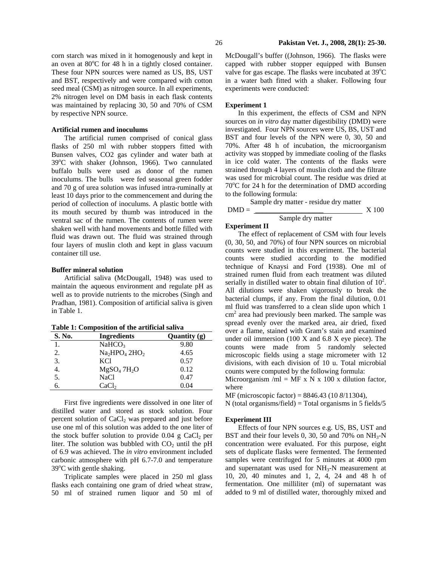corn starch was mixed in it homogenously and kept in an oven at 80°C for 48 h in a tightly closed container. These four NPN sources were named as US, BS, UST and BST, respectively and were compared with cotton seed meal (CSM) as nitrogen source. In all experiments, 2% nitrogen level on DM basis in each flask contents was maintained by replacing 30, 50 and 70% of CSM by respective NPN source.

# **Artificial rumen and inoculums**

The artificial rumen comprised of conical glass flasks of 250 ml with rubber stoppers fitted with Bunsen valves, CO2 gas cylinder and water bath at 39°C with shaker (Johnson, 1966). Two cannulated buffalo bulls were used as donor of the rumen inoculums. The bulls were fed seasonal green fodder and 70 g of urea solution was infused intra-ruminally at least 10 days prior to the commencement and during the period of collection of inoculums. A plastic bottle with its mouth secured by thumb was introduced in the ventral sac of the rumen. The contents of rumen were shaken well with hand movements and bottle filled with fluid was drawn out. The fluid was strained through four layers of muslin cloth and kept in glass vacuum container till use.

#### **Buffer mineral solution**

Artificial saliva (McDougall, 1948) was used to maintain the aqueous environment and regulate pH as well as to provide nutrients to the microbes (Singh and Pradhan, 1981). Composition of artificial saliva is given in Table 1.

**Table 1: Composition of the artificial saliva**

| S. No. | <b>Ingredients</b>                  | Quantity $(g)$ |  |  |
|--------|-------------------------------------|----------------|--|--|
|        | NaHCO <sub>3</sub>                  | 9.80           |  |  |
| 2.     | $Na2HPO4 2HO2$                      | 4.65           |  |  |
| 3.     | KC1                                 | 0.57           |  |  |
| 4.     | MgSO <sub>4</sub> 7H <sub>2</sub> O | 0.12           |  |  |
| 5.     | <b>NaCl</b>                         | 0.47           |  |  |
| б.     | CaCl <sub>2</sub>                   | 0.04           |  |  |
|        |                                     |                |  |  |

First five ingredients were dissolved in one liter of distilled water and stored as stock solution. Four percent solution of  $CaCl<sub>2</sub>$  was prepared and just before use one ml of this solution was added to the one liter of the stock buffer solution to provide  $0.04$  g CaCl<sub>2</sub> per liter. The solution was bubbled with  $CO<sub>2</sub>$  until the pH of 6.9 was achieved. The *in vitro* environment included carbonic atmosphere with pH 6.7-7.0 and temperature 39°C with gentle shaking.

Triplicate samples were placed in 250 ml glass flasks each containing one gram of dried wheat straw, 50 ml of strained rumen liquor and 50 ml of McDougall's buffer ((Johnson, 1966). The flasks were capped with rubber stopper equipped with Bunsen valve for gas escape. The flasks were incubated at  $39^{\circ}$ C in a water bath fitted with a shaker. Following four experiments were conducted:

# **Experiment 1**

In this experiment, the effects of CSM and NPN sources on *in vitro* day matter digestibility (DMD) were investigated. Four NPN sources were US, BS, UST and BST and four levels of the NPN were 0, 30, 50 and 70%. After 48 h of incubation, the microorganism activity was stopped by immediate cooling of the flasks in ice cold water. The contents of the flasks were strained through 4 layers of muslin cloth and the filtrate was used for microbial count. The residue was dried at 70°C for 24 h for the determination of DMD according to the following formula:

|         | Sample dry matter - residue dry matter |       |
|---------|----------------------------------------|-------|
| $DMD =$ |                                        | X 100 |
|         | Sample dry matter                      |       |

**Experiment II** 

The effect of replacement of CSM with four levels (0, 30, 50, and 70%) of four NPN sources on microbial counts were studied in this experiment. The bacterial counts were studied according to the modified technique of Knaysi and Ford (1938). One ml of strained rumen fluid from each treatment was diluted serially in distilled water to obtain final dilution of  $10^2$ . All dilutions were shaken vigorously to break the bacterial clumps, if any. From the final dilution, 0.01 ml fluid was transferred to a clean slide upon which 1 cm<sup>2</sup> area had previously been marked. The sample was spread evenly over the marked area, air dried, fixed over a flame, stained with Gram's stain and examined under oil immersion (100 X and 6.8 X eye piece). The counts were made from 5 randomly selected microscopic fields using a stage micrometer with 12 divisions, with each division of 10 u. Total microbial counts were computed by the following formula:

Microorganism /ml = MF x N x 100 x dilution factor, where

MF (microscopic factor) = 8846.43 (10 *8*/11304),

 $N$  (total organisms/field) = Total organisms in 5 fields/5

## **Experiment III**

Effects of four NPN sources e.g. US, BS, UST and BST and their four levels 0, 30, 50 and 70% on  $NH<sub>3</sub>-N$ concentration were evaluated. For this purpose, eight sets of duplicate flasks were fermented. The fermented samples were centrifuged for 5 minutes at 4000 rpm and supernatant was used for  $NH<sub>3</sub>-N$  measurement at 10, 20, 40 minutes and 1, 2, 4, 24 and 48 h of fermentation. One milliliter (ml) of supernatant was added to 9 ml of distilled water, thoroughly mixed and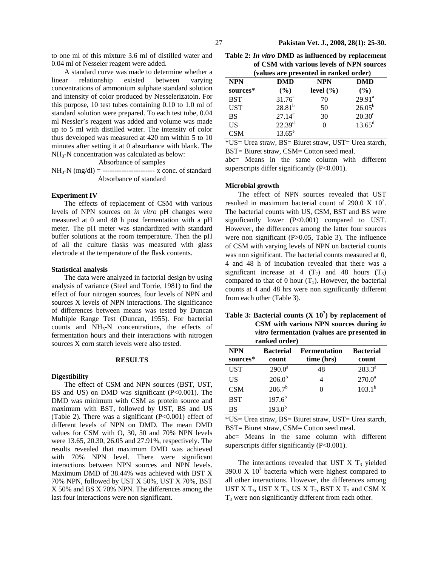to one ml of this mixture 3.6 ml of distilled water and 0.04 ml of Nesseler reagent were added.

A standard curve was made to determine whether a linear relationship existed between varying concentrations of ammonium sulphate standard solution and intensity of color produced by Nesselerizatoin. For this purpose, 10 test tubes containing 0.10 to 1.0 ml of standard solution were prepared. To each test tube, 0.04 ml Nessler's reagent was added and volume was made up to 5 ml with distilled water. The intensity of color thus developed was measured at 420 nm within 5 to 10 minutes after setting it at 0 absorbance with blank. The NH3-N concentration was calculated as below:

Absorbance of samples

 $NH_3-N$  (mg/dl) = ----------------------- x conc. of standard Absorbance of standard

## **Experiment IV**

The effects of replacement of CSM with various levels of NPN sources on *in vitro* pH changes were measured at 0 and 48 h post fermentation with a pH meter. The pH meter was standardized with standard buffer solutions at the room temperature. Then the pH of all the culture flasks was measured with glass electrode at the temperature of the flask contents.

#### **Statistical analysis**

The data were analyzed in factorial design by using analysis of variance (Steel and Torrie, 1981) to find th**e e**ffect of four nitrogen sources, four levels of NPN and sources X levels of NPN interactions. The significance of differences between means was tested by Duncan Multiple Range Test (Duncan, 1955). For bacterial counts and NH3-N concentrations, the effects of fermentation hours and their interactions with nitrogen sources X corn starch levels were also tested.

## **RESULTS**

### **Digestibility**

The effect of CSM and NPN sources (BST, UST, BS and US) on DMD was significant (P<0.001). The DMD was minimum with CSM as protein source and maximum with BST, followed by UST, BS and US (Table 2). There was a significant (P<0.001) effect of different levels of NPN on DMD. The mean DMD values for CSM with O, 30, 50 and 70% NPN levels were 13.65, 20.30, 26.05 and 27.91%, respectively. The results revealed that maximum DMD was achieved with 70% NPN level. There were significant interactions between NPN sources and NPN levels. Maximum DMD of 38.44% was achieved with BST X 70% NPN, followed by UST X 50%, UST X 70%, BST X 50% and BS X 70% NPN. The differences among the last four interactions were non significant.

**Table 2:** *In vitro* **DMD as influenced by replacement of CSM with various levels of NPN sources (values are presented in ranked order)** 

| $($ vanues are presenteu in raineu oruer $\mu$ |                    |               |                 |  |  |  |
|------------------------------------------------|--------------------|---------------|-----------------|--|--|--|
| <b>NPN</b>                                     | <b>DMD</b>         | <b>NPN</b>    | <b>DMD</b>      |  |  |  |
| sources*                                       | $($ %)             | level $(\% )$ | $(\%)$          |  |  |  |
| <b>BST</b>                                     | $31.76^a$          | 70            | $29.91^a$       |  |  |  |
| <b>UST</b>                                     | $28.81^{b}$        | 50            | $26.05^{b}$     |  |  |  |
| BS                                             | $27.14^c$          | 30            | $20.30^{\circ}$ |  |  |  |
| US                                             | 22.39 <sup>d</sup> | 0             | $13.65^{\rm d}$ |  |  |  |
| CSM                                            | $13.65^e$          |               |                 |  |  |  |

\*US= Urea straw, BS= Biuret straw, UST= Urea starch, BST= Biuret straw, CSM= Cotton seed meal.

abc= Means in the same column with different superscripts differ significantly (P<0.001).

# **Microbial growth**

The effect of NPN sources revealed that UST resulted in maximum bacterial count of 290.0 X  $10^7$ . The bacterial counts with US, CSM, BST and BS were significantly lower (P<0.001) compared to UST. However, the differences among the latter four sources were non significant (P>0.05, Table 3). The influence of CSM with varying levels of NPN on bacterial counts was non significant. The bacterial counts measured at 0, 4 and 48 h of incubation revealed that there was a significant increase at 4  $(T_2)$  and 48 hours  $(T_3)$ compared to that of 0 hour  $(T_1)$ . However, the bacterial counts at 4 and 48 hrs were non significantly different from each other (Table 3).

| Table 3: Bacterial counts $(X 107)$ by replacement of |
|-------------------------------------------------------|
| CSM with various NPN sources during in                |
| <i>vitro</i> fermentation (values are presented in    |
| ranked order)                                         |

| <b>NPN</b> | <b>Bacterial</b> | <b>Fermentation</b> | <b>Bacterial</b> |  |
|------------|------------------|---------------------|------------------|--|
| sources*   | count            | time (hrs)          | count            |  |
| <b>UST</b> | $290.0^a$        | 48                  | $283.3^a$        |  |
| US         | $206.0^{b}$      | 4                   | $270.0^a$        |  |
| <b>CSM</b> | $206.7^b$        |                     | $103.1^{b}$      |  |
| <b>BST</b> | $197.6^{b}$      |                     |                  |  |
| BS         | $193.0^{b}$      |                     |                  |  |

\*US= Urea straw, BS= Biuret straw, UST= Urea starch, BST= Biuret straw, CSM= Cotton seed meal. abc= Means in the same column with different

superscripts differ significantly (P<0.001).

The interactions revealed that UST  $X$   $T_3$  yielded 390.0 X  $10<sup>7</sup>$  bacteria which were highest compared to all other interactions. However, the differences among UST X  $T_3$ , UST X  $T_2$ , US X  $T_2$ , BST X  $T_2$  and CSM X  $T_3$  were non significantly different from each other.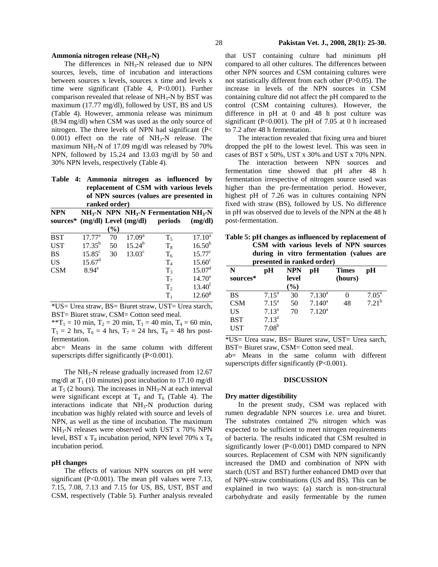#### **Ammonia nitrogen release (NH3-N)**

The differences in  $NH<sub>3</sub>-N$  released due to NPN sources, levels, time of incubation and interactions between sources x levels, sources x time and levels x time were significant (Table 4, P<0.001). Further comparison revealed that release of  $NH<sub>3</sub>-N$  by BST was maximum (17.77 mg/dl), followed by UST, BS and US (Table 4). However, ammonia release was minimum (8.94 mg/dl) when CSM was used as the only source of nitrogen. The three levels of NPN had significant (P<  $0.001$ ) effect on the rate of NH<sub>3</sub>-N release. The maximum NH<sub>3</sub>-N of 17.09 mg/dl was released by  $70\%$ NPN, followed by 15.24 and 13.03 mg/dl by 50 and 30% NPN levels, respectively (Table 4).

**Table 4: Ammonia nitrogen as influenced by replacement of CSM with various levels of NPN sources (values are presented in ranked order)** 

| <b>NPN</b> |                 |                              |                           | $NH_3\text{-}N$ NPN NH <sub>3</sub> -N Fermentation NH <sub>3</sub> -N |                    |
|------------|-----------------|------------------------------|---------------------------|------------------------------------------------------------------------|--------------------|
| sources*   |                 |                              | $(mg/dl)$ Level $(mg/dl)$ | periods                                                                | (mg/dl)            |
|            |                 | $\left( \frac{9}{6} \right)$ |                           |                                                                        |                    |
| <b>BST</b> | $17.77^{\rm a}$ | 70                           | 17.09 <sup>a</sup>        | $T_5$                                                                  | $17.10^a$          |
| <b>UST</b> | $17.35^{b}$     | 50                           | $15.24^{b}$               | $T_8$                                                                  | $16.50^{b}$        |
| <b>BS</b>  | $15.85^\circ$   | 30                           | 13.03 <sup>c</sup>        | $T_6$                                                                  | $15.77^{\circ}$    |
| <b>US</b>  | $15.67^{\rm d}$ |                              |                           | $T_{4}$                                                                | $15.60^{\circ}$    |
| <b>CSM</b> | $8.94^e$        |                              |                           | T <sub>3</sub>                                                         | 15.07 <sup>d</sup> |
|            |                 |                              |                           | $T_7$                                                                  | $14.70^e$          |
|            |                 |                              |                           | T <sub>2</sub>                                                         | 13.40 <sup>f</sup> |
|            |                 |                              |                           | $T_{1}$                                                                | 12.60 <sup>g</sup> |

\*US= Urea straw, BS= Biuret straw, UST= Urea starch, BST= Biuret straw, CSM= Cotton seed meal.

\*\*T<sub>1</sub> = 10 min, T<sub>2</sub> = 20 min, T<sub>3</sub> = 40 min, T<sub>4</sub> = 60 min,  $T_5 = 2$  hrs,  $T_6 = 4$  hrs,  $T_7 = 24$  hrs,  $T_8 = 48$  hrs postfermentation.

abc= Means in the same column with different superscripts differ significantly (P<0.001).

The  $NH<sub>3</sub>-N$  release gradually increased from 12.67 mg/dl at  $T_1$  (10 minutes) post incubation to 17.10 mg/dl at  $T_5$  (2 hours). The increases in NH<sub>3</sub>-N at each interval were significant except at  $T_4$  and  $T_6$  (Table 4). The interactions indicate that NH<sub>3</sub>-N production during incubation was highly related with source and levels of NPN, as well as the time of incubation. The maximum NH3-N releases were observed with UST x 70% NPN level, BST x  $T_8$  incubation period, NPN level 70% x  $T_8$ incubation period.

### **pH changes**

The effects of various NPN sources on pH were significant (P<0.001). The mean pH values were 7.13, 7.15, 7.08, 7.13 and 7.15 for US, BS, UST, BST and CSM, respectively (Table 5). Further analysis revealed that UST containing culture had minimum pH compared to all other cultures. The differences between other NPN sources and CSM containing cultures were not statistically different from each other (P>0.05). The increase in levels of the NPN sources in CSM containing culture did not affect the pH compared to the control (CSM containing cultures). However, the difference in pH at 0 and 48 h post culture was significant (P<0.001). The pH of 7.05 at 0 h increased to 7.2 after 48 h fermentation.

The interaction revealed that fixing urea and biuret dropped the pH to the lowest level. This was seen in cases of BST x 50%, UST x 30% and UST x 70% NPN.

The interaction between NPN sources and fermentation time showed that pH after 48 h fermentation irrespective of nitrogen source used was higher than the pre-fermentation period. However, highest pH of 7.26 was in cultures containing NPN fixed with straw (BS), followed by US. No difference in pH was observed due to levels of the NPN at the 48 h post-fermentation.

| Table 5: pH changes as influenced by replacement of |
|-----------------------------------------------------|
| CSM with various levels of NPN sources              |
| during in vitro fermentation (values are            |
| presented in ranked order)                          |

| N          | рH                | NPN                          | рH        | <b>Times</b> | рH                |
|------------|-------------------|------------------------------|-----------|--------------|-------------------|
| sources*   |                   | level                        |           | (hours)      |                   |
|            |                   | $\left( \frac{0}{0} \right)$ |           |              |                   |
| <b>BS</b>  | $7.15^{\rm a}$    | 30                           | $7.130^a$ | 0            | $7.05^{\text{a}}$ |
| <b>CSM</b> | $7.15^{\text{a}}$ | 50                           | $7.140^a$ | 48           | $7.21^{b}$        |
| US         | 7.13 <sup>a</sup> | 70                           | $7.120^a$ |              |                   |
| <b>BST</b> | 7.13 <sup>a</sup> |                              |           |              |                   |
| UST        | 7.08 <sup>b</sup> |                              |           |              |                   |

\*US= Urea sraw, BS= Biuret sraw, UST= Urea sarch, BST= Biuret sraw, CSM= Cotton seed meal. ab= Means in the same column with different

superscripts differ significantly (P<0.001).

# **DISCUSSION**

#### **Dry matter digestibility**

In the present study, CSM was replaced with rumen degradable NPN sources i.e. urea and biuret. The substrates contained 2% nitrogen which was expected to be sufficient to meet nitrogen requirements of bacteria. The results indicated that CSM resulted in significantly lower (P<0.001) DMD compared to NPN sources. Replacement of CSM with NPN significantly increased the DMD and combination of NPN with starch (UST and BST) further enhanced DMD over that of NPN–straw combinations (US and BS). This can be explained in two ways: (a) starch is non-structural carbohydrate and easily fermentable by the rumen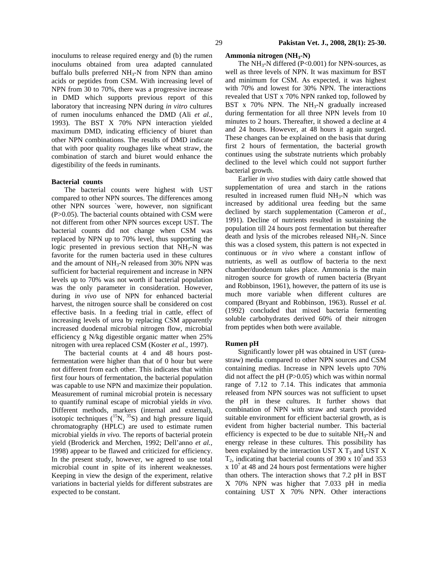inoculums to release required energy and (b) the rumen inoculums obtained from urea adapted cannulated buffalo bulls preferred  $NH<sub>3</sub>-N$  from NPN than amino acids or peptides from CSM. With increasing level of NPN from 30 to 70%, there was a progressive increase in DMD which supports previous report of this laboratory that increasing NPN during *in vitro* cultures of rumen inoculums enhanced the DMD (Ali *et al.,* 1993). The BST X 70% NPN interaction yielded maximum DMD, indicating efficiency of biuret than other NPN combinations. The results of DMD indicate that with poor quality roughages like wheat straw, the combination of starch and biuret would enhance the digestibility of the feeds in ruminants.

# **Bacterial counts**

The bacterial counts were highest with UST compared to other NPN sources. The differences among other NPN sources `were, however, non significant (P>0.05). The bacterial counts obtained with CSM were not different from other NPN sources except UST. The bacterial counts did not change when CSM was replaced by NPN up to 70% level, thus supporting the logic presented in previous section that  $NH<sub>3</sub>-N$  was favorite for the rumen bacteria used in these cultures and the amount of NH<sub>3</sub>-N released from 30% NPN was sufficient for bacterial requirement and increase in NPN levels up to 70% was not worth if bacterial population was the only parameter in consideration. However, during *in vivo* use of NPN for enhanced bacterial harvest, the nitrogen source shall be considered on cost effective basis. In a feeding trial in cattle, effect of increasing levels of urea by replacing CSM apparently increased duodenal microbial nitrogen flow, microbial efficiency g N/kg digestible organic matter when 25% nitrogen with urea replaced CSM (Koster *et al.,* 1997).

The bacterial counts at 4 and 48 hours postfermentation were higher than that of 0 hour but were not different from each other. This indicates that within first four hours of fermentation, the bacterial population was capable to use NPN and maximize their population. Measurement of ruminal microbial protein is necessary to quantify ruminal escape of microbial yields *in vivo.*  Different methods, markers (internal and external), isotopic techniques  $(^{15}N, ^{35}S)$  and high pressure liquid chromatography (HPLC) are used to estimate rumen microbial yields *in vivo.* The reports of bacterial protein yield (Broderick and Merchen, 1992; Dell'anno *et al.,* 1998) appear to be flawed and criticized for efficiency. In the present study, however, we agreed to use total microbial count in spite of its inherent weaknesses. Keeping in view the design of the experiment, relative variations in bacterial yields for different substrates are expected to be constant.

# **Ammonia nitrogen (NH3-N)**

The  $NH_3-N$  differed (P<0.001) for NPN-sources, as well as three levels of NPN. It was maximum for BST and minimum for CSM. As expected, it was highest with 70% and lowest for 30% NPN. The interactions revealed that UST x 70% NPN ranked top, followed by BST x 70% NPN. The  $NH<sub>3</sub>-N$  gradually increased during fermentation for all three NPN levels from 10 minutes to 2 hours. Thereafter, it showed a decline at 4 and 24 hours. However, at 48 hours it again surged. These changes can be explained on the basis that during first 2 hours of fermentation, the bacterial growth continues using the substrate nutrients which probably declined to the level which could not support further bacterial growth.

Earlier *in vivo* studies with dairy cattle showed that supplementation of urea and starch in the rations resulted in increased rumen fluid  $NH<sub>3</sub>-N$  which was increased by additional urea feeding but the same declined by starch supplementation (Cameron *et al.,* 1991). Decline of nutrients resulted in sustaining the population till 24 hours post fermentation but thereafter death and lysis of the microbes released  $NH<sub>3</sub>-N$ . Since this was a closed system, this pattern is not expected in continuous or *in vivo* where a constant inflow of nutrients, as well as outflow of bacteria to the next chamber/duodenum takes place. Ammonia is the main nitrogen source for growth of rumen bacteria (Bryant and Robbinson, 1961), however, the pattern of its use is much more variable when different cultures are compared (Bryant and Robbinson, 1963). Russel *et al.*  (1992) concluded that mixed bacteria fermenting soluble carbohydrates derived 60% of their nitrogen from peptides when both were available.

### **Rumen pH**

Significantly lower pH was obtained in UST (ureastraw) media compared to other NPN sources and CSM containing medias. Increase in NPN levels upto 70% did not affect the pH  $(P>0.05)$  which was within normal range of 7.12 to 7.14. This indicates that ammonia released from NPN sources was not sufficient to upset the pH in these cultures. It further shows that combination of NPN with straw and starch provided suitable environment for efficient bacterial growth, as is evident from higher bacterial number. This bacterial efficiency is expected to be due to suitable  $NH<sub>3</sub>-N$  and energy release in these cultures. This possibility has been explained by the interaction UST  $X$  T<sub>3</sub> and UST  $X$  $T_2$ , indicating that bacterial counts of 390 x 10<sup>7</sup> and 353  $x 10<sup>7</sup>$  at 48 and 24 hours post fermentations were higher than others. The interaction shows that 7.2 pH in BST X 70% NPN was higher that 7.033 pH in media containing UST X 70% NPN. Other interactions